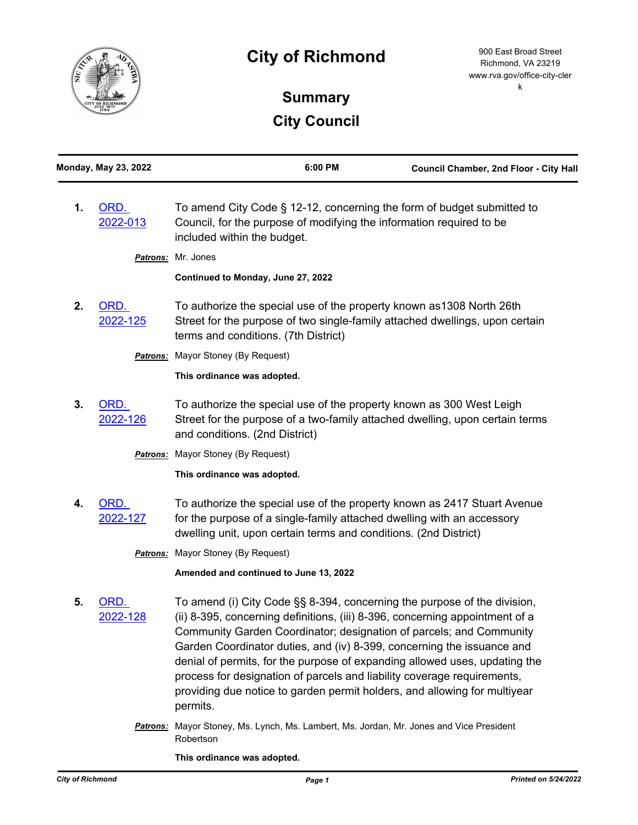

# **City of Richmond**

900 East Broad Street Richmond, VA 23219 www.rva.gov/office-city-cler k

## **Summary City Council**

|    | <b>Monday, May 23, 2022</b> | 6:00 PM                                                                                                                                                                                                                                                                                                                                                                                                                                                                                                                                                     | Council Chamber, 2nd Floor - City Hall |
|----|-----------------------------|-------------------------------------------------------------------------------------------------------------------------------------------------------------------------------------------------------------------------------------------------------------------------------------------------------------------------------------------------------------------------------------------------------------------------------------------------------------------------------------------------------------------------------------------------------------|----------------------------------------|
| 1. | ORD.<br>2022-013            | To amend City Code § 12-12, concerning the form of budget submitted to<br>Council, for the purpose of modifying the information required to be<br>included within the budget.                                                                                                                                                                                                                                                                                                                                                                               |                                        |
|    | <b>Patrons:</b>             | Mr. Jones                                                                                                                                                                                                                                                                                                                                                                                                                                                                                                                                                   |                                        |
|    |                             | Continued to Monday, June 27, 2022                                                                                                                                                                                                                                                                                                                                                                                                                                                                                                                          |                                        |
| 2. | ORD.<br>2022-125            | To authorize the special use of the property known as 1308 North 26th<br>Street for the purpose of two single-family attached dwellings, upon certain<br>terms and conditions. (7th District)                                                                                                                                                                                                                                                                                                                                                               |                                        |
|    | <b>Patrons:</b>             | Mayor Stoney (By Request)                                                                                                                                                                                                                                                                                                                                                                                                                                                                                                                                   |                                        |
|    |                             | This ordinance was adopted.                                                                                                                                                                                                                                                                                                                                                                                                                                                                                                                                 |                                        |
| 3. | ORD.<br>2022-126            | To authorize the special use of the property known as 300 West Leigh<br>Street for the purpose of a two-family attached dwelling, upon certain terms<br>and conditions. (2nd District)                                                                                                                                                                                                                                                                                                                                                                      |                                        |
|    | <b>Patrons:</b>             | Mayor Stoney (By Request)                                                                                                                                                                                                                                                                                                                                                                                                                                                                                                                                   |                                        |
|    |                             | This ordinance was adopted.                                                                                                                                                                                                                                                                                                                                                                                                                                                                                                                                 |                                        |
| 4. | ORD.<br>2022-127            | To authorize the special use of the property known as 2417 Stuart Avenue<br>for the purpose of a single-family attached dwelling with an accessory<br>dwelling unit, upon certain terms and conditions. (2nd District)                                                                                                                                                                                                                                                                                                                                      |                                        |
|    |                             | <b>Patrons:</b> Mayor Stoney (By Request)                                                                                                                                                                                                                                                                                                                                                                                                                                                                                                                   |                                        |
|    |                             | Amended and continued to June 13, 2022                                                                                                                                                                                                                                                                                                                                                                                                                                                                                                                      |                                        |
| 5. | ORD.<br>2022-128            | To amend (i) City Code §§ 8-394, concerning the purpose of the division,<br>(ii) 8-395, concerning definitions, (iii) 8-396, concerning appointment of a<br>Community Garden Coordinator; designation of parcels; and Community<br>Garden Coordinator duties, and (iv) 8-399, concerning the issuance and<br>denial of permits, for the purpose of expanding allowed uses, updating the<br>process for designation of parcels and liability coverage requirements,<br>providing due notice to garden permit holders, and allowing for multiyear<br>permits. |                                        |
|    | <u>Patrons:</u>             | Mayor Stoney, Ms. Lynch, Ms. Lambert, Ms. Jordan, Mr. Jones and Vice President<br>Robertson                                                                                                                                                                                                                                                                                                                                                                                                                                                                 |                                        |
|    |                             | This ordinance was adopted.                                                                                                                                                                                                                                                                                                                                                                                                                                                                                                                                 |                                        |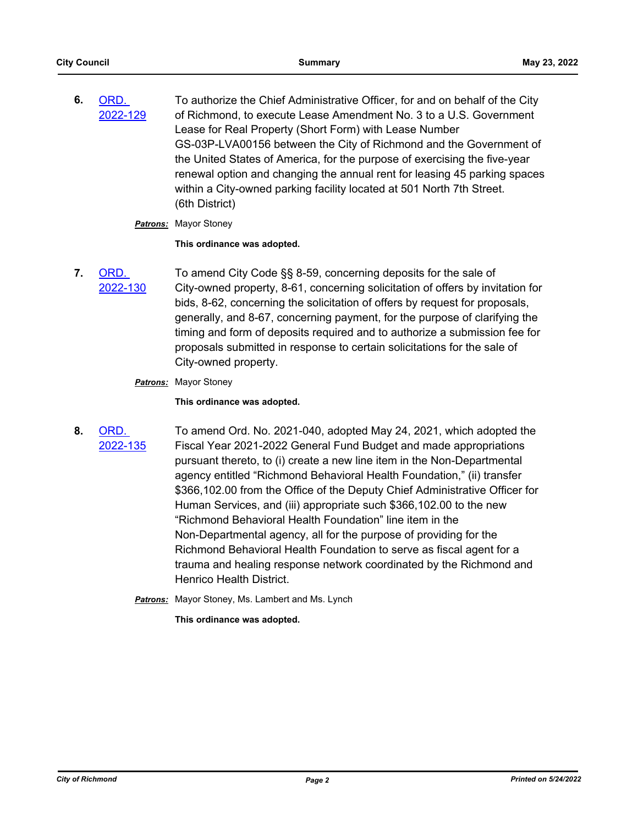**6.** ORD. [2022-129](http://richmondva.legistar.com/gateway.aspx?m=l&id=/matter.aspx?key=32065) To authorize the Chief Administrative Officer, for and on behalf of the City of Richmond, to execute Lease Amendment No. 3 to a U.S. Government Lease for Real Property (Short Form) with Lease Number GS-03P-LVA00156 between the City of Richmond and the Government of the United States of America, for the purpose of exercising the five-year renewal option and changing the annual rent for leasing 45 parking spaces within a City-owned parking facility located at 501 North 7th Street. (6th District)

#### *Patrons:* Mayor Stoney

**This ordinance was adopted.**

**7.** ORD. [2022-130](http://richmondva.legistar.com/gateway.aspx?m=l&id=/matter.aspx?key=32066) To amend City Code §§ 8-59, concerning deposits for the sale of City-owned property, 8-61, concerning solicitation of offers by invitation for bids, 8-62, concerning the solicitation of offers by request for proposals, generally, and 8-67, concerning payment, for the purpose of clarifying the timing and form of deposits required and to authorize a submission fee for proposals submitted in response to certain solicitations for the sale of City-owned property.

#### *Patrons:* Mayor Stoney

**This ordinance was adopted.**

- **8.** ORD. [2022-135](http://richmondva.legistar.com/gateway.aspx?m=l&id=/matter.aspx?key=32117) To amend Ord. No. 2021-040, adopted May 24, 2021, which adopted the Fiscal Year 2021-2022 General Fund Budget and made appropriations pursuant thereto, to (i) create a new line item in the Non-Departmental agency entitled "Richmond Behavioral Health Foundation," (ii) transfer \$366,102.00 from the Office of the Deputy Chief Administrative Officer for Human Services, and (iii) appropriate such \$366,102.00 to the new "Richmond Behavioral Health Foundation" line item in the Non-Departmental agency, all for the purpose of providing for the Richmond Behavioral Health Foundation to serve as fiscal agent for a trauma and healing response network coordinated by the Richmond and Henrico Health District.
	- *Patrons:* Mayor Stoney, Ms. Lambert and Ms. Lynch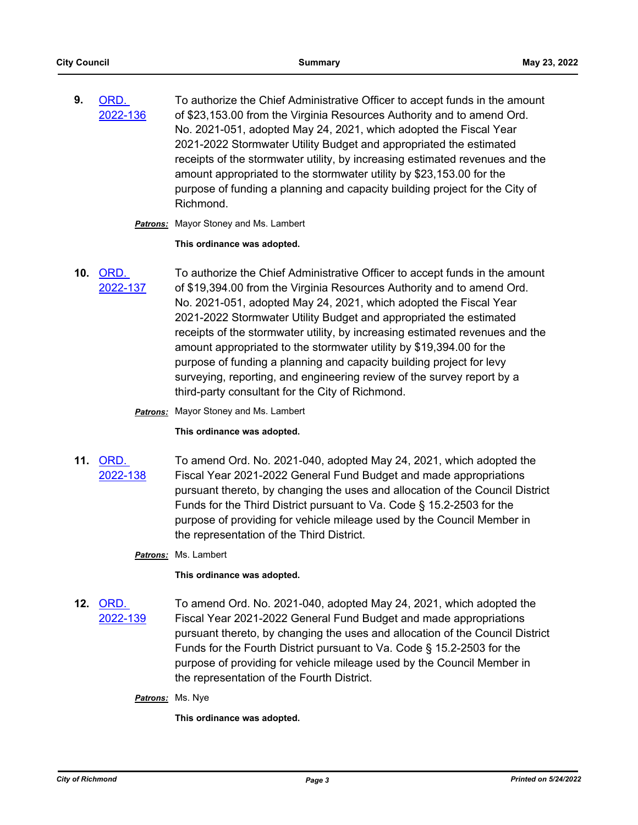**9.** ORD. [2022-136](http://richmondva.legistar.com/gateway.aspx?m=l&id=/matter.aspx?key=32118) To authorize the Chief Administrative Officer to accept funds in the amount of \$23,153.00 from the Virginia Resources Authority and to amend Ord. No. 2021-051, adopted May 24, 2021, which adopted the Fiscal Year 2021-2022 Stormwater Utility Budget and appropriated the estimated receipts of the stormwater utility, by increasing estimated revenues and the amount appropriated to the stormwater utility by \$23,153.00 for the purpose of funding a planning and capacity building project for the City of Richmond.

#### *Patrons:* Mayor Stoney and Ms. Lambert

#### **This ordinance was adopted.**

- **10.** ORD. [2022-137](http://richmondva.legistar.com/gateway.aspx?m=l&id=/matter.aspx?key=32119) To authorize the Chief Administrative Officer to accept funds in the amount of \$19,394.00 from the Virginia Resources Authority and to amend Ord. No. 2021-051, adopted May 24, 2021, which adopted the Fiscal Year 2021-2022 Stormwater Utility Budget and appropriated the estimated receipts of the stormwater utility, by increasing estimated revenues and the amount appropriated to the stormwater utility by \$19,394.00 for the purpose of funding a planning and capacity building project for levy surveying, reporting, and engineering review of the survey report by a third-party consultant for the City of Richmond.
	- *Patrons:* Mayor Stoney and Ms. Lambert

#### **This ordinance was adopted.**

**11.** ORD. [2022-138](http://richmondva.legistar.com/gateway.aspx?m=l&id=/matter.aspx?key=32120) To amend Ord. No. 2021-040, adopted May 24, 2021, which adopted the Fiscal Year 2021-2022 General Fund Budget and made appropriations pursuant thereto, by changing the uses and allocation of the Council District Funds for the Third District pursuant to Va. Code § 15.2-2503 for the purpose of providing for vehicle mileage used by the Council Member in the representation of the Third District.

#### *Patrons:* Ms. Lambert

#### **This ordinance was adopted.**

**12.** ORD. [2022-139](http://richmondva.legistar.com/gateway.aspx?m=l&id=/matter.aspx?key=32121) To amend Ord. No. 2021-040, adopted May 24, 2021, which adopted the Fiscal Year 2021-2022 General Fund Budget and made appropriations pursuant thereto, by changing the uses and allocation of the Council District Funds for the Fourth District pursuant to Va. Code § 15.2-2503 for the purpose of providing for vehicle mileage used by the Council Member in the representation of the Fourth District.

#### *Patrons:* Ms. Nye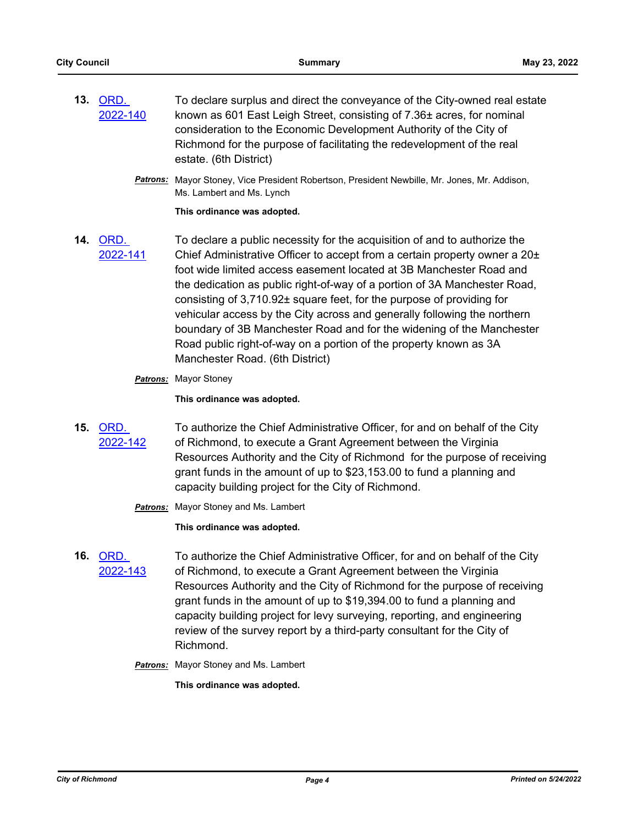- **13.** ORD. [2022-140](http://richmondva.legistar.com/gateway.aspx?m=l&id=/matter.aspx?key=32122) To declare surplus and direct the conveyance of the City-owned real estate known as 601 East Leigh Street, consisting of 7.36± acres, for nominal consideration to the Economic Development Authority of the City of Richmond for the purpose of facilitating the redevelopment of the real estate. (6th District)
	- *Patrons:* Mayor Stoney, Vice President Robertson, President Newbille, Mr. Jones, Mr. Addison, Ms. Lambert and Ms. Lynch

#### **This ordinance was adopted.**

**14.** ORD. [2022-141](http://richmondva.legistar.com/gateway.aspx?m=l&id=/matter.aspx?key=32123) To declare a public necessity for the acquisition of and to authorize the Chief Administrative Officer to accept from a certain property owner a 20± foot wide limited access easement located at 3B Manchester Road and the dedication as public right-of-way of a portion of 3A Manchester Road, consisting of 3,710.92± square feet, for the purpose of providing for vehicular access by the City across and generally following the northern boundary of 3B Manchester Road and for the widening of the Manchester Road public right-of-way on a portion of the property known as 3A Manchester Road. (6th District)

#### *Patrons:* Mayor Stoney

#### **This ordinance was adopted.**

- **15.** ORD. [2022-142](http://richmondva.legistar.com/gateway.aspx?m=l&id=/matter.aspx?key=32124) To authorize the Chief Administrative Officer, for and on behalf of the City of Richmond, to execute a Grant Agreement between the Virginia Resources Authority and the City of Richmond for the purpose of receiving grant funds in the amount of up to \$23,153.00 to fund a planning and capacity building project for the City of Richmond.
	- *Patrons:* Mayor Stoney and Ms. Lambert

### **This ordinance was adopted.**

- **16.** ORD. [2022-143](http://richmondva.legistar.com/gateway.aspx?m=l&id=/matter.aspx?key=32125) To authorize the Chief Administrative Officer, for and on behalf of the City of Richmond, to execute a Grant Agreement between the Virginia Resources Authority and the City of Richmond for the purpose of receiving grant funds in the amount of up to \$19,394.00 to fund a planning and capacity building project for levy surveying, reporting, and engineering review of the survey report by a third-party consultant for the City of Richmond.
	- **Patrons:** Mayor Stoney and Ms. Lambert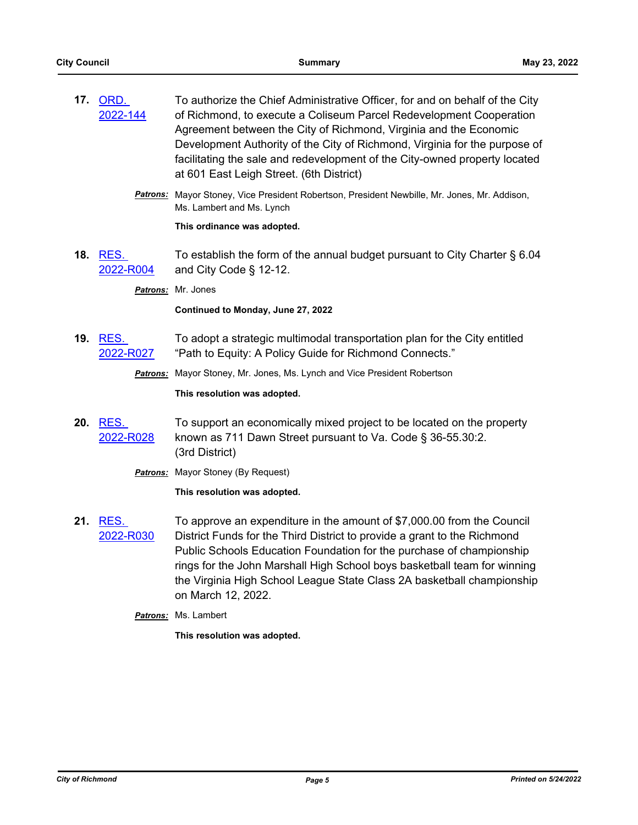| 17. | ORD.<br>2022-144             | To authorize the Chief Administrative Officer, for and on behalf of the City<br>of Richmond, to execute a Coliseum Parcel Redevelopment Cooperation<br>Agreement between the City of Richmond, Virginia and the Economic<br>Development Authority of the City of Richmond, Virginia for the purpose of<br>facilitating the sale and redevelopment of the City-owned property located<br>at 601 East Leigh Street. (6th District) |
|-----|------------------------------|----------------------------------------------------------------------------------------------------------------------------------------------------------------------------------------------------------------------------------------------------------------------------------------------------------------------------------------------------------------------------------------------------------------------------------|
|     | <u>Patrons:</u>              | Mayor Stoney, Vice President Robertson, President Newbille, Mr. Jones, Mr. Addison,<br>Ms. Lambert and Ms. Lynch                                                                                                                                                                                                                                                                                                                 |
|     |                              | This ordinance was adopted.                                                                                                                                                                                                                                                                                                                                                                                                      |
|     | 18. RES.<br>2022-R004        | To establish the form of the annual budget pursuant to City Charter § 6.04<br>and City Code $\S$ 12-12.                                                                                                                                                                                                                                                                                                                          |
|     |                              | Patrons: Mr. Jones                                                                                                                                                                                                                                                                                                                                                                                                               |
|     |                              | Continued to Monday, June 27, 2022                                                                                                                                                                                                                                                                                                                                                                                               |
| 19. | RES.<br>2022-R027            | To adopt a strategic multimodal transportation plan for the City entitled<br>"Path to Equity: A Policy Guide for Richmond Connects."                                                                                                                                                                                                                                                                                             |
|     |                              | Patrons: Mayor Stoney, Mr. Jones, Ms. Lynch and Vice President Robertson                                                                                                                                                                                                                                                                                                                                                         |
|     |                              | This resolution was adopted.                                                                                                                                                                                                                                                                                                                                                                                                     |
|     | <b>20. RES.</b><br>2022-R028 | To support an economically mixed project to be located on the property<br>known as 711 Dawn Street pursuant to Va. Code § 36-55.30:2.<br>(3rd District)                                                                                                                                                                                                                                                                          |
|     |                              | <b>Patrons:</b> Mayor Stoney (By Request)                                                                                                                                                                                                                                                                                                                                                                                        |
|     |                              | This resolution was adopted.                                                                                                                                                                                                                                                                                                                                                                                                     |
|     | 21. RES.<br>2022-R030        | To approve an expenditure in the amount of \$7,000.00 from the Council<br>District Funds for the Third District to provide a grant to the Richmond<br>Public Schools Education Foundation for the purchase of championship<br>rings for the John Marshall High School boys basketball team for winning<br>the Virginia High School League State Class 2A basketball championship<br>on March 12, 2022.                           |
|     |                              | <b>Patrons: Ms. Lambert</b>                                                                                                                                                                                                                                                                                                                                                                                                      |

**This resolution was adopted.**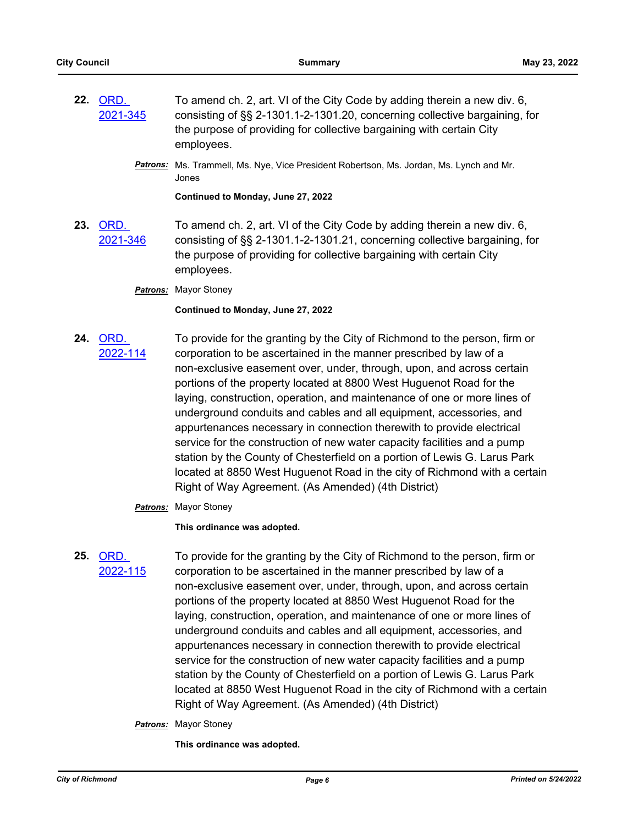| 22. ORD. | To amend ch. 2, art. VI of the City Code by adding therein a new div. 6,   |
|----------|----------------------------------------------------------------------------|
| 2021-345 | consisting of §§ 2-1301.1-2-1301.20, concerning collective bargaining, for |
|          | the purpose of providing for collective bargaining with certain City       |
|          | employees.                                                                 |

*Patrons:* Ms. Trammell, Ms. Nye, Vice President Robertson, Ms. Jordan, Ms. Lynch and Mr. Jones

**Continued to Monday, June 27, 2022**

**23.** ORD. [2021-346](http://richmondva.legistar.com/gateway.aspx?m=l&id=/matter.aspx?key=30496) To amend ch. 2, art. VI of the City Code by adding therein a new div. 6, consisting of §§ 2-1301.1-2-1301.21, concerning collective bargaining, for the purpose of providing for collective bargaining with certain City employees.

#### *Patrons:* Mayor Stoney

#### **Continued to Monday, June 27, 2022**

**24.** ORD. [2022-114](http://richmondva.legistar.com/gateway.aspx?m=l&id=/matter.aspx?key=31987) To provide for the granting by the City of Richmond to the person, firm or corporation to be ascertained in the manner prescribed by law of a non-exclusive easement over, under, through, upon, and across certain portions of the property located at 8800 West Huguenot Road for the laying, construction, operation, and maintenance of one or more lines of underground conduits and cables and all equipment, accessories, and appurtenances necessary in connection therewith to provide electrical service for the construction of new water capacity facilities and a pump station by the County of Chesterfield on a portion of Lewis G. Larus Park located at 8850 West Huguenot Road in the city of Richmond with a certain Right of Way Agreement. (As Amended) (4th District)

#### *Patrons:* Mayor Stoney

#### **This ordinance was adopted.**

#### **25.** ORD. [2022-115](http://richmondva.legistar.com/gateway.aspx?m=l&id=/matter.aspx?key=31988)

To provide for the granting by the City of Richmond to the person, firm or corporation to be ascertained in the manner prescribed by law of a non-exclusive easement over, under, through, upon, and across certain portions of the property located at 8850 West Huguenot Road for the laying, construction, operation, and maintenance of one or more lines of underground conduits and cables and all equipment, accessories, and appurtenances necessary in connection therewith to provide electrical service for the construction of new water capacity facilities and a pump station by the County of Chesterfield on a portion of Lewis G. Larus Park located at 8850 West Huguenot Road in the city of Richmond with a certain Right of Way Agreement. (As Amended) (4th District)

*Patrons:* Mayor Stoney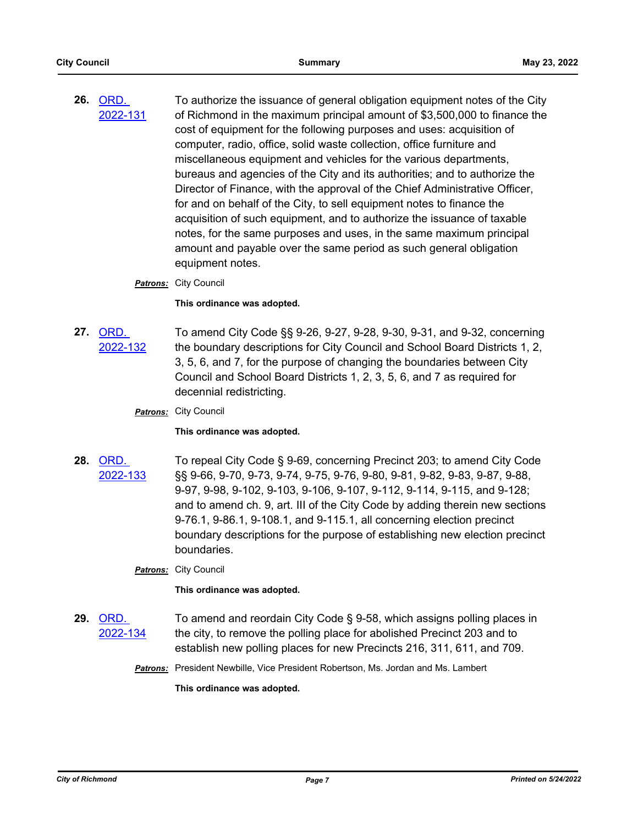**26.** ORD. [2022-131](http://richmondva.legistar.com/gateway.aspx?m=l&id=/matter.aspx?key=32082) To authorize the issuance of general obligation equipment notes of the City of Richmond in the maximum principal amount of \$3,500,000 to finance the cost of equipment for the following purposes and uses: acquisition of computer, radio, office, solid waste collection, office furniture and miscellaneous equipment and vehicles for the various departments, bureaus and agencies of the City and its authorities; and to authorize the Director of Finance, with the approval of the Chief Administrative Officer, for and on behalf of the City, to sell equipment notes to finance the acquisition of such equipment, and to authorize the issuance of taxable notes, for the same purposes and uses, in the same maximum principal amount and payable over the same period as such general obligation equipment notes.

#### *Patrons:* City Council

**This ordinance was adopted.**

- **27.** ORD. [2022-132](http://richmondva.legistar.com/gateway.aspx?m=l&id=/matter.aspx?key=32114) To amend City Code §§ 9-26, 9-27, 9-28, 9-30, 9-31, and 9-32, concerning the boundary descriptions for City Council and School Board Districts 1, 2, 3, 5, 6, and 7, for the purpose of changing the boundaries between City Council and School Board Districts 1, 2, 3, 5, 6, and 7 as required for decennial redistricting.
	- *Patrons:* City Council

#### **This ordinance was adopted.**

- **28.** ORD. [2022-133](http://richmondva.legistar.com/gateway.aspx?m=l&id=/matter.aspx?key=32115) To repeal City Code § 9-69, concerning Precinct 203; to amend City Code §§ 9-66, 9-70, 9-73, 9-74, 9-75, 9-76, 9-80, 9-81, 9-82, 9-83, 9-87, 9-88, 9-97, 9-98, 9-102, 9-103, 9-106, 9-107, 9-112, 9-114, 9-115, and 9-128; and to amend ch. 9, art. III of the City Code by adding therein new sections 9-76.1, 9-86.1, 9-108.1, and 9-115.1, all concerning election precinct boundary descriptions for the purpose of establishing new election precinct boundaries.
	- *Patrons:* City Council

#### **This ordinance was adopted.**

- **29.** ORD. [2022-134](http://richmondva.legistar.com/gateway.aspx?m=l&id=/matter.aspx?key=32116) To amend and reordain City Code § 9-58, which assigns polling places in the city, to remove the polling place for abolished Precinct 203 and to establish new polling places for new Precincts 216, 311, 611, and 709.
	- *Patrons:* President Newbille, Vice President Robertson, Ms. Jordan and Ms. Lambert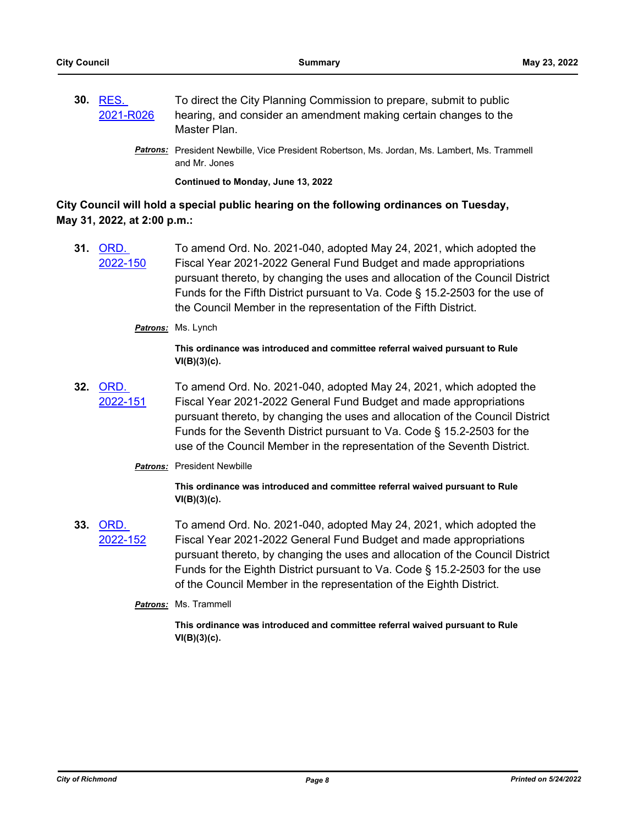- **30.** RES. [2021-R026](http://richmondva.legistar.com/gateway.aspx?m=l&id=/matter.aspx?key=29432) To direct the City Planning Commission to prepare, submit to public hearing, and consider an amendment making certain changes to the Master Plan.
	- *Patrons:* President Newbille, Vice President Robertson, Ms. Jordan, Ms. Lambert, Ms. Trammell and Mr. Jones

**Continued to Monday, June 13, 2022**

**City Council will hold a special public hearing on the following ordinances on Tuesday, May 31, 2022, at 2:00 p.m.:**

**31.** ORD. [2022-150](http://richmondva.legistar.com/gateway.aspx?m=l&id=/matter.aspx?key=32182) To amend Ord. No. 2021-040, adopted May 24, 2021, which adopted the Fiscal Year 2021-2022 General Fund Budget and made appropriations pursuant thereto, by changing the uses and allocation of the Council District Funds for the Fifth District pursuant to Va. Code § 15.2-2503 for the use of the Council Member in the representation of the Fifth District.

*Patrons:* Ms. Lynch

**This ordinance was introduced and committee referral waived pursuant to Rule VI(B)(3)(c).**

- **32.** ORD. [2022-151](http://richmondva.legistar.com/gateway.aspx?m=l&id=/matter.aspx?key=32183) To amend Ord. No. 2021-040, adopted May 24, 2021, which adopted the Fiscal Year 2021-2022 General Fund Budget and made appropriations pursuant thereto, by changing the uses and allocation of the Council District Funds for the Seventh District pursuant to Va. Code § 15.2-2503 for the use of the Council Member in the representation of the Seventh District.
	- *Patrons:* President Newbille

**This ordinance was introduced and committee referral waived pursuant to Rule VI(B)(3)(c).**

- **33.** ORD. [2022-152](http://richmondva.legistar.com/gateway.aspx?m=l&id=/matter.aspx?key=32184) To amend Ord. No. 2021-040, adopted May 24, 2021, which adopted the Fiscal Year 2021-2022 General Fund Budget and made appropriations pursuant thereto, by changing the uses and allocation of the Council District Funds for the Eighth District pursuant to Va. Code § 15.2-2503 for the use of the Council Member in the representation of the Eighth District.
	- *Patrons:* Ms. Trammell

**This ordinance was introduced and committee referral waived pursuant to Rule VI(B)(3)(c).**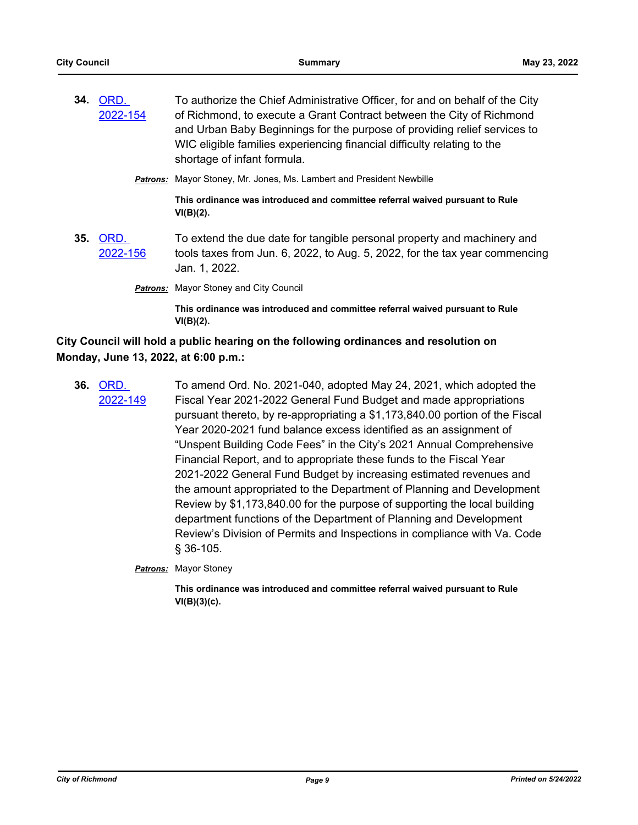**34.** ORD. [2022-154](http://richmondva.legistar.com/gateway.aspx?m=l&id=/matter.aspx?key=32187) To authorize the Chief Administrative Officer, for and on behalf of the City of Richmond, to execute a Grant Contract between the City of Richmond and Urban Baby Beginnings for the purpose of providing relief services to WIC eligible families experiencing financial difficulty relating to the shortage of infant formula.

**Patrons:** Mayor Stoney, Mr. Jones, Ms. Lambert and President Newbille

**This ordinance was introduced and committee referral waived pursuant to Rule VI(B)(2).**

**35.** ORD. [2022-156](http://richmondva.legistar.com/gateway.aspx?m=l&id=/matter.aspx?key=32186) To extend the due date for tangible personal property and machinery and tools taxes from Jun. 6, 2022, to Aug. 5, 2022, for the tax year commencing Jan. 1, 2022.

**Patrons:** Mayor Stoney and City Council

**This ordinance was introduced and committee referral waived pursuant to Rule VI(B)(2).**

## **City Council will hold a public hearing on the following ordinances and resolution on Monday, June 13, 2022, at 6:00 p.m.:**

**36.** ORD. [2022-149](http://richmondva.legistar.com/gateway.aspx?m=l&id=/matter.aspx?key=32181) To amend Ord. No. 2021-040, adopted May 24, 2021, which adopted the Fiscal Year 2021-2022 General Fund Budget and made appropriations pursuant thereto, by re-appropriating a \$1,173,840.00 portion of the Fiscal Year 2020-2021 fund balance excess identified as an assignment of "Unspent Building Code Fees" in the City's 2021 Annual Comprehensive Financial Report, and to appropriate these funds to the Fiscal Year 2021-2022 General Fund Budget by increasing estimated revenues and the amount appropriated to the Department of Planning and Development Review by \$1,173,840.00 for the purpose of supporting the local building department functions of the Department of Planning and Development Review's Division of Permits and Inspections in compliance with Va. Code § 36-105.

*Patrons:* Mayor Stoney

**This ordinance was introduced and committee referral waived pursuant to Rule VI(B)(3)(c).**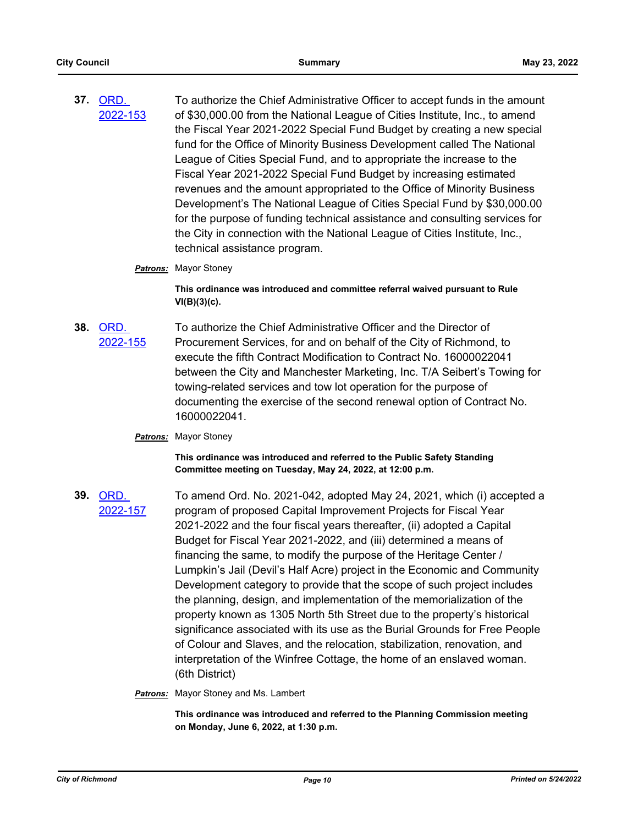**37.** ORD. [2022-153](http://richmondva.legistar.com/gateway.aspx?m=l&id=/matter.aspx?key=32185) To authorize the Chief Administrative Officer to accept funds in the amount of \$30,000.00 from the National League of Cities Institute, Inc., to amend the Fiscal Year 2021-2022 Special Fund Budget by creating a new special fund for the Office of Minority Business Development called The National League of Cities Special Fund, and to appropriate the increase to the Fiscal Year 2021-2022 Special Fund Budget by increasing estimated revenues and the amount appropriated to the Office of Minority Business Development's The National League of Cities Special Fund by \$30,000.00 for the purpose of funding technical assistance and consulting services for the City in connection with the National League of Cities Institute, Inc., technical assistance program.

#### *Patrons:* Mayor Stoney

**This ordinance was introduced and committee referral waived pursuant to Rule VI(B)(3)(c).**

**38.** ORD. [2022-155](http://richmondva.legistar.com/gateway.aspx?m=l&id=/matter.aspx?key=32189) To authorize the Chief Administrative Officer and the Director of Procurement Services, for and on behalf of the City of Richmond, to execute the fifth Contract Modification to Contract No. 16000022041 between the City and Manchester Marketing, Inc. T/A Seibert's Towing for towing-related services and tow lot operation for the purpose of documenting the exercise of the second renewal option of Contract No. 16000022041.

#### *Patrons:* Mayor Stoney

**This ordinance was introduced and referred to the Public Safety Standing Committee meeting on Tuesday, May 24, 2022, at 12:00 p.m.**

**39.** ORD. [2022-157](http://richmondva.legistar.com/gateway.aspx?m=l&id=/matter.aspx?key=32190) To amend Ord. No. 2021-042, adopted May 24, 2021, which (i) accepted a program of proposed Capital Improvement Projects for Fiscal Year 2021-2022 and the four fiscal years thereafter, (ii) adopted a Capital Budget for Fiscal Year 2021-2022, and (iii) determined a means of financing the same, to modify the purpose of the Heritage Center / Lumpkin's Jail (Devil's Half Acre) project in the Economic and Community Development category to provide that the scope of such project includes the planning, design, and implementation of the memorialization of the property known as 1305 North 5th Street due to the property's historical significance associated with its use as the Burial Grounds for Free People of Colour and Slaves, and the relocation, stabilization, renovation, and interpretation of the Winfree Cottage, the home of an enslaved woman. (6th District)

#### *Patrons:* Mayor Stoney and Ms. Lambert

**This ordinance was introduced and referred to the Planning Commission meeting on Monday, June 6, 2022, at 1:30 p.m.**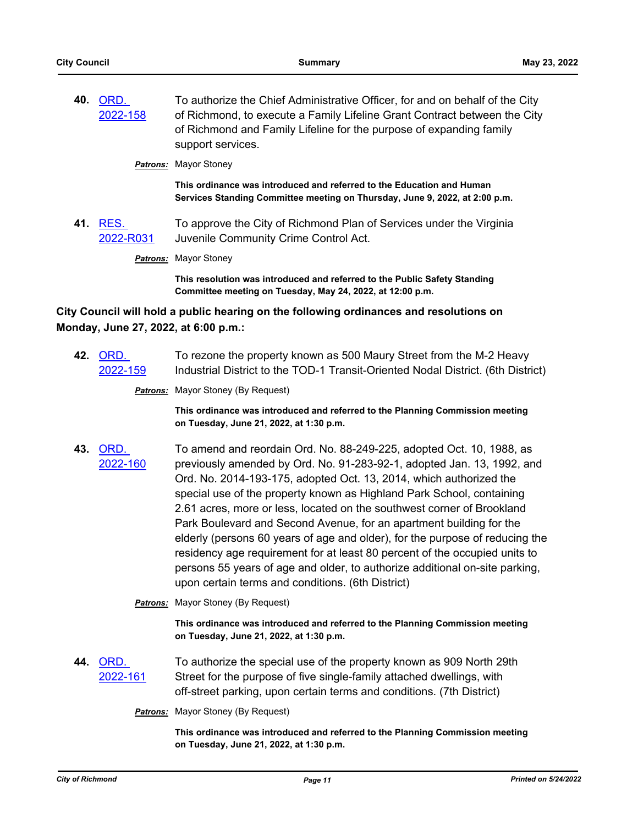| 40. ORD. | To authorize the Chief Administrative Officer, for and on behalf of the City |
|----------|------------------------------------------------------------------------------|
| 2022-158 | of Richmond, to execute a Family Lifeline Grant Contract between the City    |
|          | of Richmond and Family Lifeline for the purpose of expanding family          |
|          | support services.                                                            |
|          |                                                                              |

*Patrons:* Mayor Stoney

**This ordinance was introduced and referred to the Education and Human Services Standing Committee meeting on Thursday, June 9, 2022, at 2:00 p.m.**

**41.** RES. [2022-R031](http://richmondva.legistar.com/gateway.aspx?m=l&id=/matter.aspx?key=32193) To approve the City of Richmond Plan of Services under the Virginia Juvenile Community Crime Control Act.

*Patrons:* Mayor Stoney

**This resolution was introduced and referred to the Public Safety Standing Committee meeting on Tuesday, May 24, 2022, at 12:00 p.m.**

## **City Council will hold a public hearing on the following ordinances and resolutions on Monday, June 27, 2022, at 6:00 p.m.:**

**42.** ORD. [2022-159](http://richmondva.legistar.com/gateway.aspx?m=l&id=/matter.aspx?key=31960) To rezone the property known as 500 Maury Street from the M-2 Heavy Industrial District to the TOD-1 Transit-Oriented Nodal District. (6th District)

**Patrons:** Mayor Stoney (By Request)

**This ordinance was introduced and referred to the Planning Commission meeting on Tuesday, June 21, 2022, at 1:30 p.m.**

**43.** ORD. [2022-160](http://richmondva.legistar.com/gateway.aspx?m=l&id=/matter.aspx?key=31999) To amend and reordain Ord. No. 88-249-225, adopted Oct. 10, 1988, as previously amended by Ord. No. 91-283-92-1, adopted Jan. 13, 1992, and Ord. No. 2014-193-175, adopted Oct. 13, 2014, which authorized the special use of the property known as Highland Park School, containing 2.61 acres, more or less, located on the southwest corner of Brookland Park Boulevard and Second Avenue, for an apartment building for the elderly (persons 60 years of age and older), for the purpose of reducing the residency age requirement for at least 80 percent of the occupied units to persons 55 years of age and older, to authorize additional on-site parking, upon certain terms and conditions. (6th District)

**Patrons:** Mayor Stoney (By Request)

**This ordinance was introduced and referred to the Planning Commission meeting on Tuesday, June 21, 2022, at 1:30 p.m.**

**44.** ORD. [2022-161](http://richmondva.legistar.com/gateway.aspx?m=l&id=/matter.aspx?key=31779) To authorize the special use of the property known as 909 North 29th Street for the purpose of five single-family attached dwellings, with off-street parking, upon certain terms and conditions. (7th District)

**Patrons:** Mayor Stoney (By Request)

**This ordinance was introduced and referred to the Planning Commission meeting on Tuesday, June 21, 2022, at 1:30 p.m.**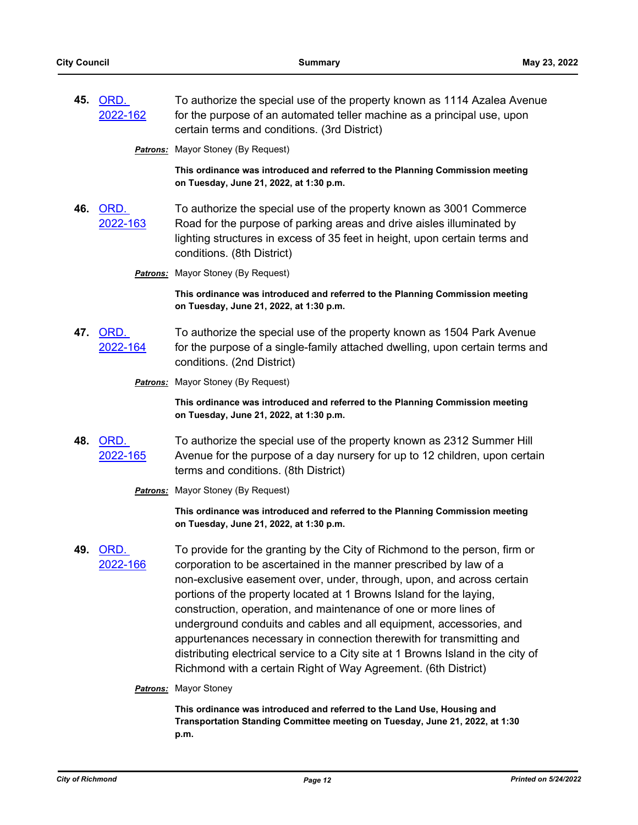| 45. | ORD.<br>2022-162        | To authorize the special use of the property known as 1114 Azalea Avenue<br>for the purpose of an automated teller machine as a principal use, upon<br>certain terms and conditions. (3rd District)                                                                                                                                                                                                                                                                                                                                                                                                                                                                       |
|-----|-------------------------|---------------------------------------------------------------------------------------------------------------------------------------------------------------------------------------------------------------------------------------------------------------------------------------------------------------------------------------------------------------------------------------------------------------------------------------------------------------------------------------------------------------------------------------------------------------------------------------------------------------------------------------------------------------------------|
|     |                         | Patrons: Mayor Stoney (By Request)                                                                                                                                                                                                                                                                                                                                                                                                                                                                                                                                                                                                                                        |
|     |                         | This ordinance was introduced and referred to the Planning Commission meeting<br>on Tuesday, June 21, 2022, at 1:30 p.m.                                                                                                                                                                                                                                                                                                                                                                                                                                                                                                                                                  |
| 46. | <u>ORD.</u><br>2022-163 | To authorize the special use of the property known as 3001 Commerce<br>Road for the purpose of parking areas and drive aisles illuminated by<br>lighting structures in excess of 35 feet in height, upon certain terms and<br>conditions. (8th District)                                                                                                                                                                                                                                                                                                                                                                                                                  |
|     |                         | Patrons: Mayor Stoney (By Request)                                                                                                                                                                                                                                                                                                                                                                                                                                                                                                                                                                                                                                        |
|     |                         | This ordinance was introduced and referred to the Planning Commission meeting<br>on Tuesday, June 21, 2022, at 1:30 p.m.                                                                                                                                                                                                                                                                                                                                                                                                                                                                                                                                                  |
| 47. | <u>ORD.</u><br>2022-164 | To authorize the special use of the property known as 1504 Park Avenue<br>for the purpose of a single-family attached dwelling, upon certain terms and<br>conditions. (2nd District)                                                                                                                                                                                                                                                                                                                                                                                                                                                                                      |
|     |                         | <b>Patrons:</b> Mayor Stoney (By Request)                                                                                                                                                                                                                                                                                                                                                                                                                                                                                                                                                                                                                                 |
|     |                         | This ordinance was introduced and referred to the Planning Commission meeting<br>on Tuesday, June 21, 2022, at 1:30 p.m.                                                                                                                                                                                                                                                                                                                                                                                                                                                                                                                                                  |
| 48. | ORD.<br>2022-165        | To authorize the special use of the property known as 2312 Summer Hill<br>Avenue for the purpose of a day nursery for up to 12 children, upon certain<br>terms and conditions. (8th District)                                                                                                                                                                                                                                                                                                                                                                                                                                                                             |
|     |                         | <b>Patrons:</b> Mayor Stoney (By Request)                                                                                                                                                                                                                                                                                                                                                                                                                                                                                                                                                                                                                                 |
|     |                         | This ordinance was introduced and referred to the Planning Commission meeting<br>on Tuesday, June 21, 2022, at 1:30 p.m.                                                                                                                                                                                                                                                                                                                                                                                                                                                                                                                                                  |
|     | 49. ORD.<br>2022-166    | To provide for the granting by the City of Richmond to the person, firm or<br>corporation to be ascertained in the manner prescribed by law of a<br>non-exclusive easement over, under, through, upon, and across certain<br>portions of the property located at 1 Browns Island for the laying,<br>construction, operation, and maintenance of one or more lines of<br>underground conduits and cables and all equipment, accessories, and<br>appurtenances necessary in connection therewith for transmitting and<br>distributing electrical service to a City site at 1 Browns Island in the city of<br>Richmond with a certain Right of Way Agreement. (6th District) |
|     |                         | <b>Patrons:</b> Mayor Stoney                                                                                                                                                                                                                                                                                                                                                                                                                                                                                                                                                                                                                                              |
|     |                         | This ordinance was introduced and referred to the Land Use, Housing and<br>Transportation Standing Committee meeting on Tuesday, June 21, 2022, at 1:30                                                                                                                                                                                                                                                                                                                                                                                                                                                                                                                   |